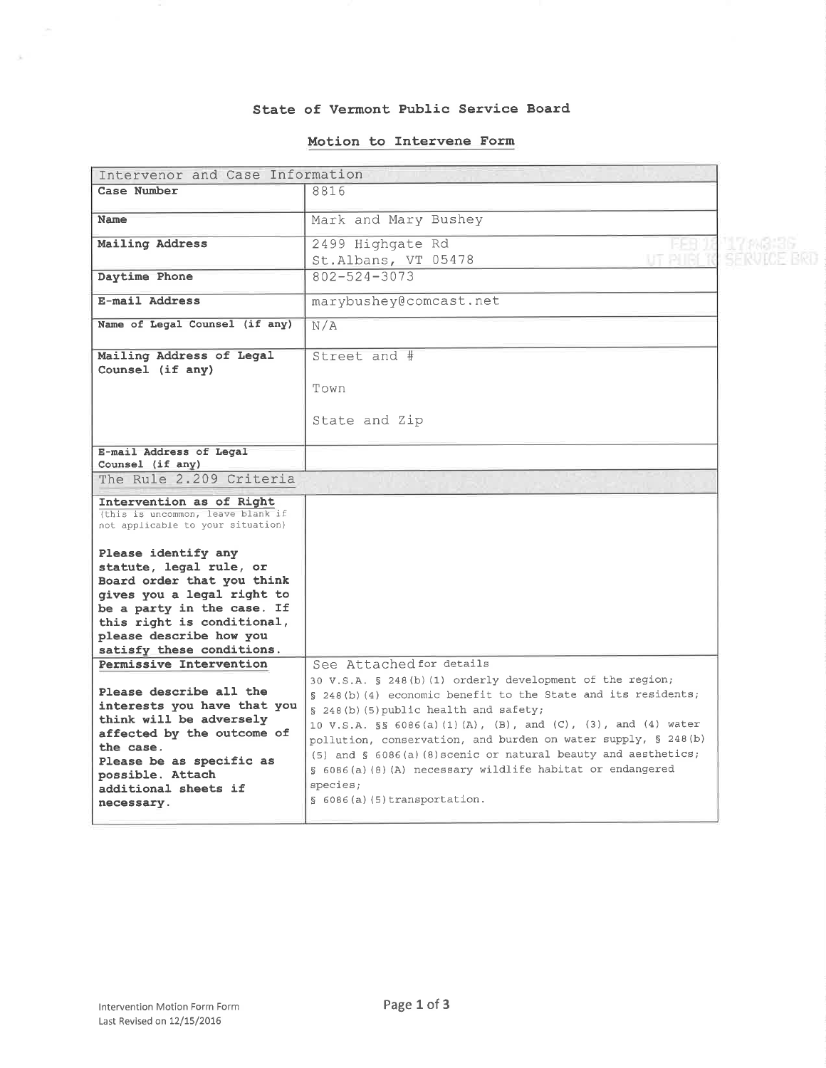#### State of Vermont Public Service Board

## Motion to Intervene Form

| Intervenor and Case Information                                                                                                                                                                                                               |                                                                                                                                                                                                                                                                                                                                                                                                                                                                                                              |          |
|-----------------------------------------------------------------------------------------------------------------------------------------------------------------------------------------------------------------------------------------------|--------------------------------------------------------------------------------------------------------------------------------------------------------------------------------------------------------------------------------------------------------------------------------------------------------------------------------------------------------------------------------------------------------------------------------------------------------------------------------------------------------------|----------|
| Case Number                                                                                                                                                                                                                                   | 8816                                                                                                                                                                                                                                                                                                                                                                                                                                                                                                         |          |
| <b>Name</b>                                                                                                                                                                                                                                   | Mark and Mary Bushey                                                                                                                                                                                                                                                                                                                                                                                                                                                                                         |          |
| Mailing Address                                                                                                                                                                                                                               | 2499 Highgate Rd<br>St.Albans, VT 05478                                                                                                                                                                                                                                                                                                                                                                                                                                                                      | 17086660 |
| Daytime Phone                                                                                                                                                                                                                                 | $802 - 524 - 3073$                                                                                                                                                                                                                                                                                                                                                                                                                                                                                           |          |
| E-mail Address                                                                                                                                                                                                                                | marybushey@comcast.net                                                                                                                                                                                                                                                                                                                                                                                                                                                                                       |          |
| Name of Legal Counsel (if any)                                                                                                                                                                                                                | N/A                                                                                                                                                                                                                                                                                                                                                                                                                                                                                                          |          |
| Mailing Address of Legal<br>Counsel (if any)                                                                                                                                                                                                  | Street and #<br>Town<br>State and Zip                                                                                                                                                                                                                                                                                                                                                                                                                                                                        |          |
| E-mail Address of Legal<br>Counsel (if any)                                                                                                                                                                                                   |                                                                                                                                                                                                                                                                                                                                                                                                                                                                                                              |          |
| The Rule 2.209 Criteria                                                                                                                                                                                                                       |                                                                                                                                                                                                                                                                                                                                                                                                                                                                                                              |          |
| Intervention as of Right<br>(this is uncommon, leave blank if<br>not applicable to your situation)                                                                                                                                            |                                                                                                                                                                                                                                                                                                                                                                                                                                                                                                              |          |
| Please identify any<br>statute, legal rule, or<br>Board order that you think<br>gives you a legal right to<br>be a party in the case. If<br>this right is conditional,<br>please describe how you<br>satisfy these conditions.                |                                                                                                                                                                                                                                                                                                                                                                                                                                                                                                              |          |
| Permissive Intervention<br>Please describe all the<br>interests you have that you<br>think will be adversely<br>affected by the outcome of<br>the case.<br>Please be as specific as<br>possible. Attach<br>additional sheets if<br>necessary. | See Attached for details<br>30 V.S.A. § 248(b)(1) orderly development of the region;<br>§ 248(b)(4) economic benefit to the State and its residents;<br>§ 248(b)(5) public health and safety;<br>10 V.S.A. §§ 6086(a)(1)(A), (B), and (C), (3), and (4) water<br>pollution, conservation, and burden on water supply, § 248(b)<br>$(5)$ and § 6086(a) (8) scenic or natural beauty and aesthetics;<br>§ 6086(a)(8)(A) necessary wildlife habitat or endangered<br>species;<br>$\S$ 6086(a)(5)transportation. |          |

 $\sim$ 

 $\beta_{\rm c}$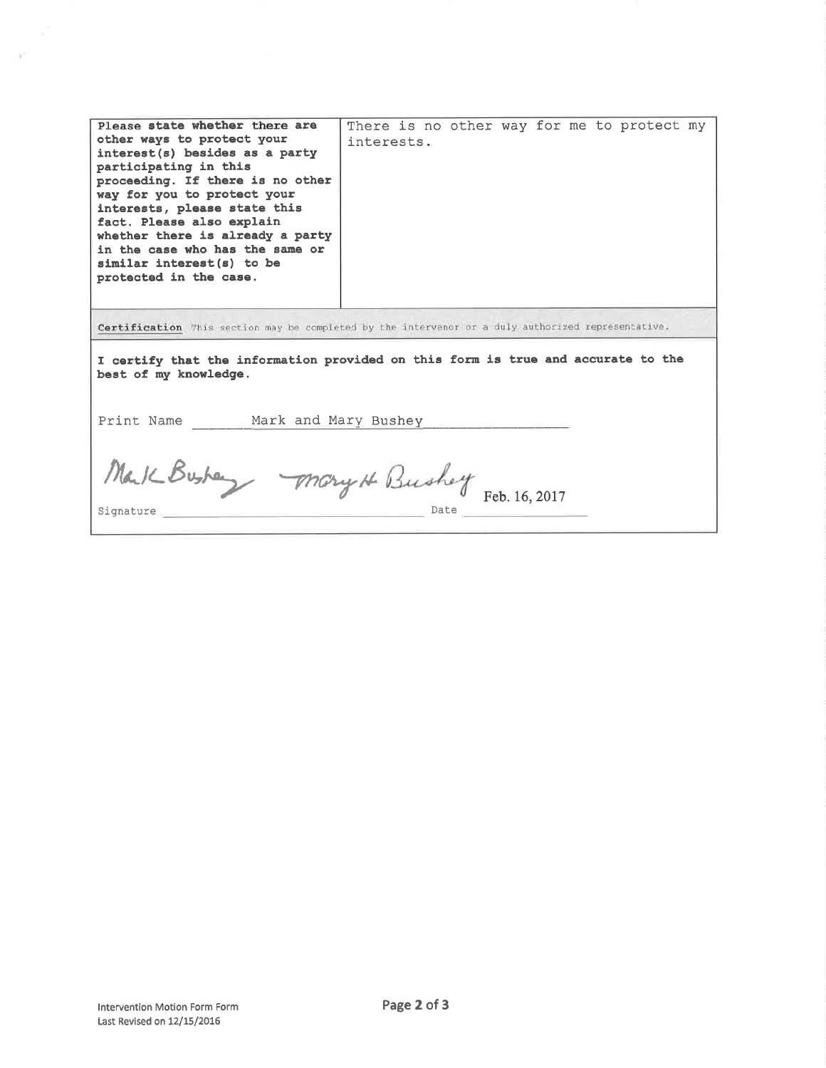| Please state whether there are<br>other ways to protect your<br>interest(s) besides as a party<br>participating in this<br>proceeding. If there is no other<br>way for you to protect your<br>interests, please state this<br>fact. Please also explain<br>whether there is already a party<br>in the case who has the same or<br>similar interest(s) to be<br>protected in the case. | There is no other way for me to protect my<br>interests. |  |  |
|---------------------------------------------------------------------------------------------------------------------------------------------------------------------------------------------------------------------------------------------------------------------------------------------------------------------------------------------------------------------------------------|----------------------------------------------------------|--|--|
| Certification This section may be completed by the intervenor or a duly authorized representative.<br>I certify that the information provided on this form is true and accurate to the<br>best of my knowledge.<br>Print Name Mark and Mary Bushey                                                                                                                                    |                                                          |  |  |
| Mark Busher Mary H Bushey Feb. 16, 2017<br>${\tt Signature} \xrightarrow{}$                                                                                                                                                                                                                                                                                                           |                                                          |  |  |

 $\mathcal{P}$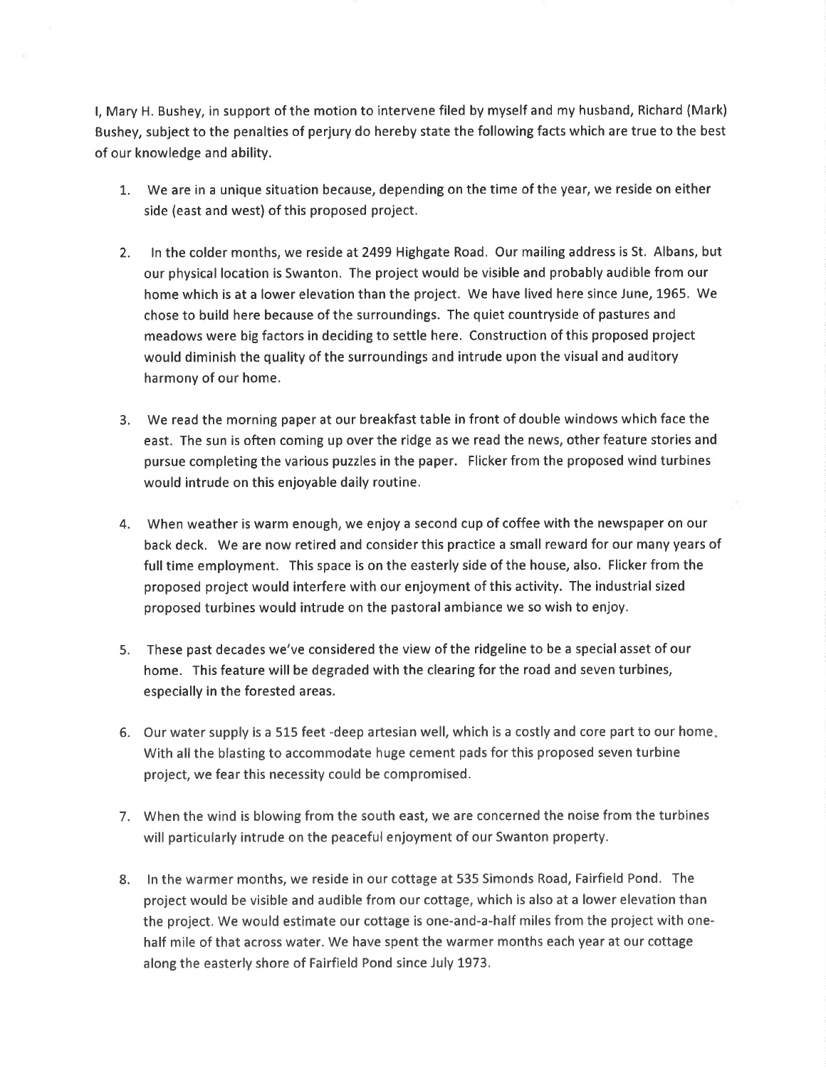l, Mary H. Bushey, in support of the motion to intervene filed by myself and my husband, Richard (Mark) Bushey, subject to the penalties of perjury do hereby state the following facts which are true to the best of our knowledge and ability.

- 1. We are in a unique situation because, depending on the time of the year, we reside on either side (east and west) of this proposed project.
- 2. In the colder months, we reside at 2499 Highgate Road. Our mailing address is St. Albans, but our physical location is Swanton. The project would be visible and probably audible from our home which is at a lower elevation than the project. We have lived here since June, 1965. We chose to build here because of the surroundings. The quiet countryside of pastures and meadows were big factors in deciding to settle here. Construction of this proposed project would diminish the quality of the surroundings and intrude upon the visual and auditory harmony of our home.
- 3. We read the morning paper at our breakfast table in front of double windows which face the east. The sun is often coming up over the ridge as we read the news, other feature stories and pursue completing the various puzzles in the paper. Flicker from the proposed wind turbines would intrude on this enjoyable daily routine,
- 4. When weather is warm enough, we enjoy a second cup of coffee with the newspaper on our back deck. We are now retired and consider this practice a small reward for our many years of full time employment. This space is on the easterly side of the house, also. Flicker from the proposed project would interfere with our enjoyment of this activity. The industrial sized proposed turbines would intrude on the pastoral ambiance we so wish to enjoy.
- 5. These past decades we've considered the view of the ridgeline to be a special asset of our home. This feature will be degraded with the clearing for the road and seven turbines, especially in the forested areas.
- 6. Our water supply is a 515 feet -deep artesian well, which is a costly and core part to our home With all the blasting to accommodate huge cement pads for this proposed seven turbine project, we fear this necessity could be compromised.
- 7. When the wind is blowing from the south east, we are concerned the noise from the turbines will particularly intrude on the peaceful enjoyment of our Swanton property.
- 8. ln the warmer months, we reside in our cottage at 535 Simonds Road, Fairfield Pond. The project would be visible and audible from our cottage, which is also at a lower elevation than the project. We would estimate our cottage is one-and-a-half miles from the project with onehalf mile of that across water. We have spent the warmer months each year at our cottage along the easterly shore of Fairfield Pond since July 1973.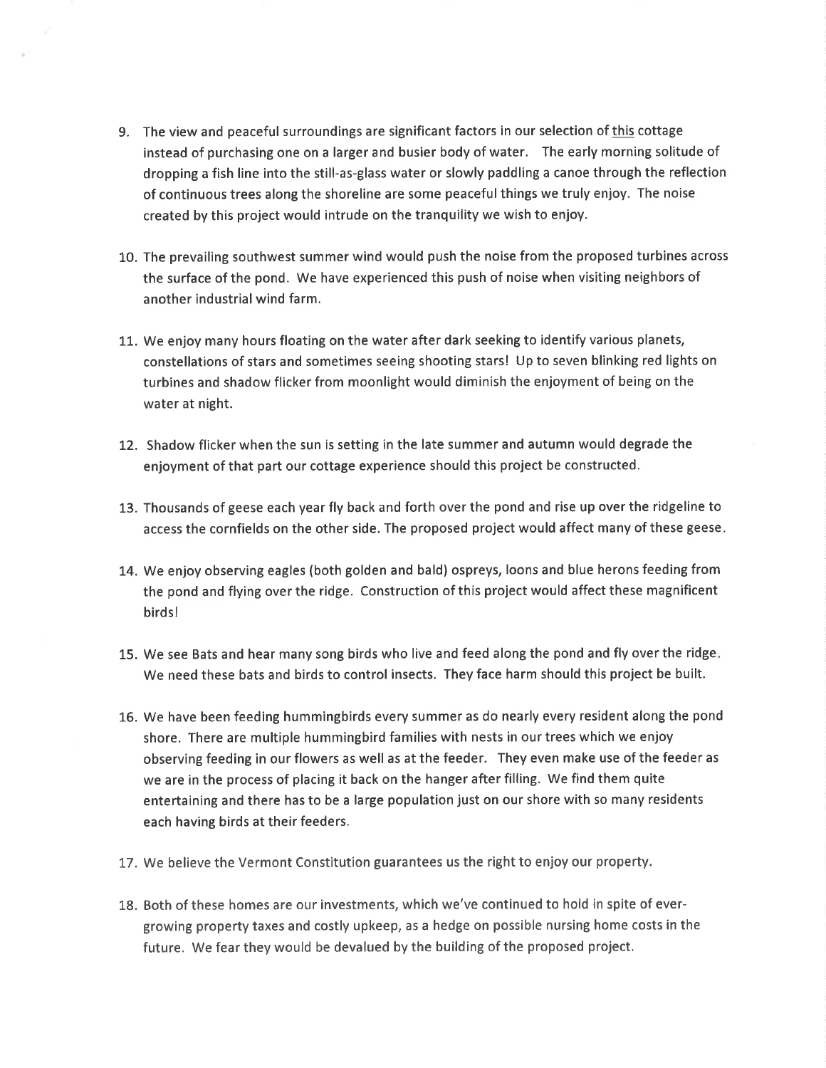- 9. The view and peaceful surroundings are significant factors in our selection of this cottage instead of purchasing one on a larger and busier body of water. The early morning solitude of dropping a fish line into the still-as-glass water or slowly paddling a canoe through the reflection of continuous trees along the shoreline are some peaceful things we truly enjoy. The noise created by this project would intrude on the tranquility we wish to enjoy.
- 10. The prevailing southwest summer wind would push the noise from the proposed turbines across the surface of the pond. We have experienced this push of noise when visiting neighbors of another industrial wind farm.
- LL. We enjoy many hours floating on the water after dark seeking to identify various planets, constellations of stars and sometimes seeing shooting stars! Up to seven blinking red lights on turbines and shadow flicker from moonlight would diminish the enjoyment of being on the water at night.
- 12. Shadow flicker when the sun is setting in the late summer and autumn would degrade the enjoyment of that part our cottage experience should this project be constructed.
- 13. Thousands of geese each year fly back and forth over the pond and rise up over the ridgeline to access the cornfields on the other side. The proposed project would affect many of these geese
- 14. We enjoy observing eagles (both golden and bald) ospreys, loons and blue herons feeding from the pond and flying over the ridge. Construction of this project would affect these magnificent birdsl
- 15. We see Bats and hear many song birds who live and feed along the pond and fly over the ridge We need these bats and birds to control insects. They face harm should this project be built.
- L6. We have been feeding hummingbirds every summer as do nearly every resident along the pond shore. There are multiple hummingbird families with nests in our trees which we enjoy observing feeding in our flowers as well as at the feeder. They even make use of the feeder as we are in the process of placing it back on the hanger after filling. We find them quite entertaining and there has to be a large population just on our shore with so many residents each having birds at their feeders.
- 17. We believe the Vermont Constitution guarantees us the right to enjoy our property.
- 18. Both of these homes are our investments, which we've continued to hold in spite of evergrowing property taxes and costly upkeep, as a hedge on possible nursing home costs in the future. We fear they would be devalued by the building of the proposed project.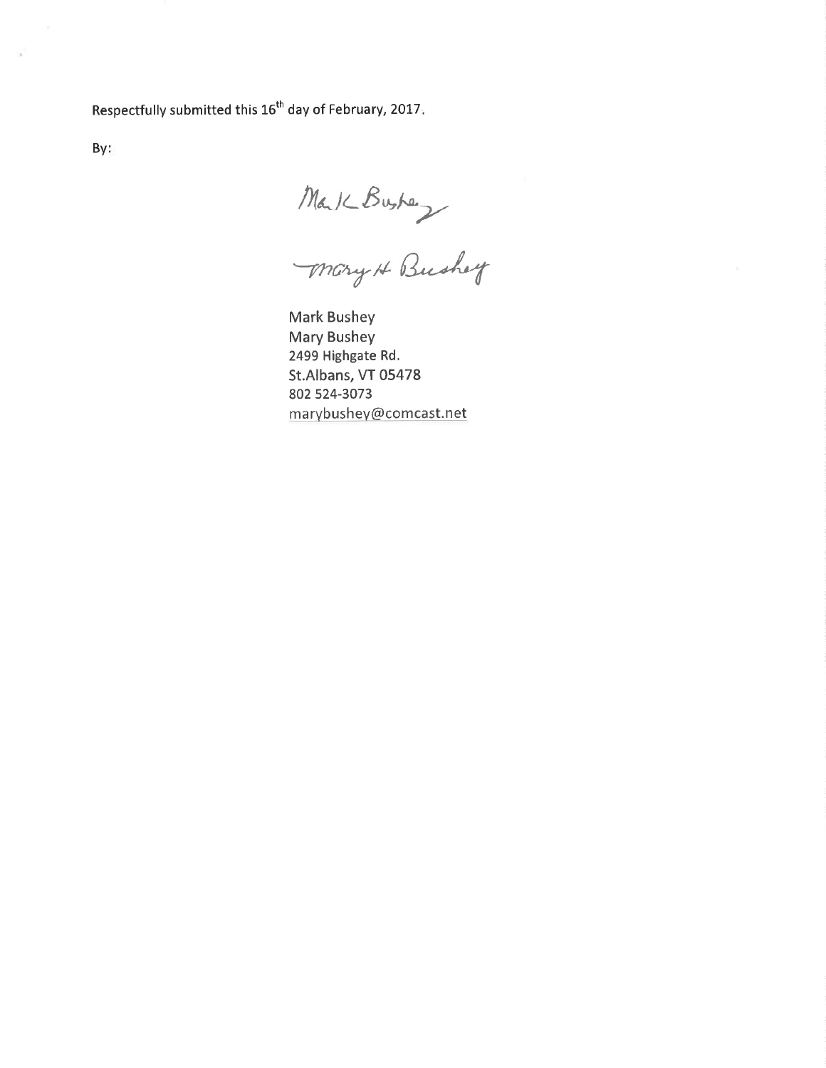Respectfully submitted this 16<sup>th</sup> day of February, 2017.

By:

Mark Busher<br>Mary H Bushey

**Mark Bushey Mary Bushey** 2499 Highgate Rd. St.Albans, VT 05478 802 524-3073 marybushey@comcast.net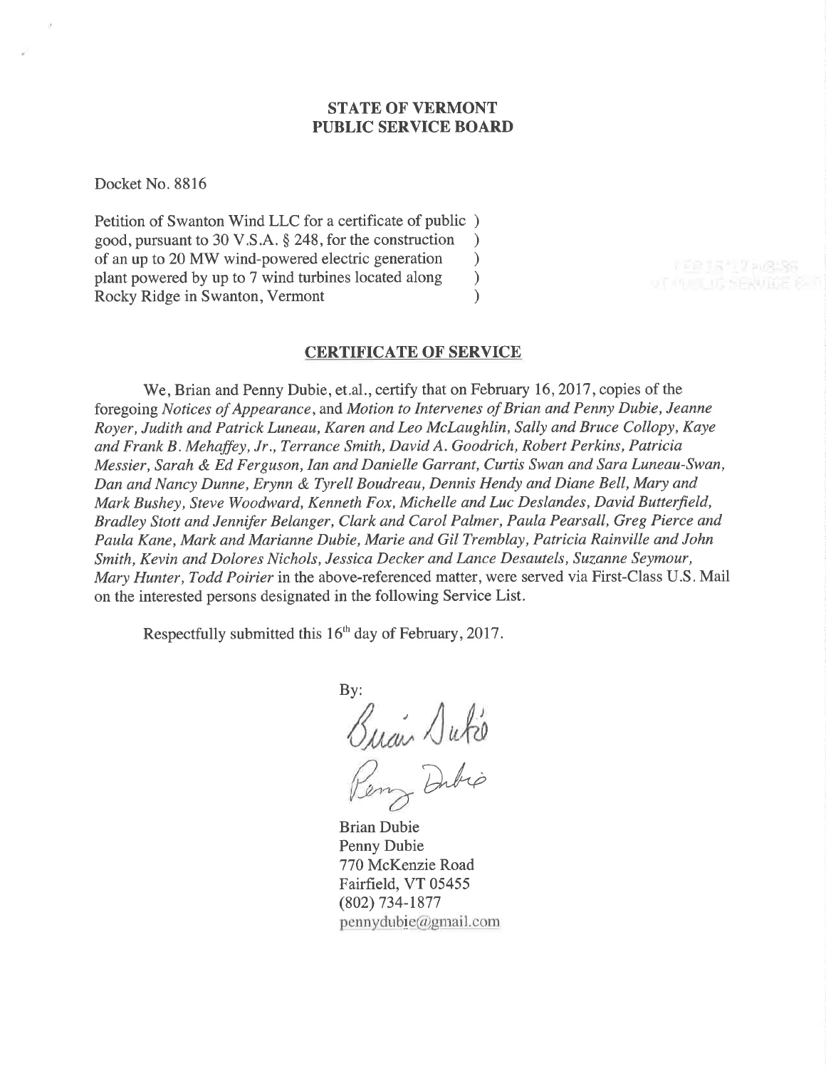# STATE OF VERMONT PUBLIC SERVICE BOARD

Docket No. 8816

Petition of Swanton Wind LLC for a certificate of public ) good, pursuant to 30 V.S.A. \$ 248, for the construction ) of an up to 20 MW wind-powered electric generation <br>plant powered by up to 7 wind turbines located along  $\qquad$ plant powered by up to 7 wind turbines located along ) Rocky Ridge in Swanton, Vermont (1988)

### CERTIFICATE OF SERVICE

We, Brian and Penny Dubie, et.al., certify that on February 16, 2017, copies of the foregoing Notices of Appearance, and Motion to Intervenes of Brian and Penny Dubie, Jeanne Royer, Judith and Patrick Luneau, Karen and Leo McLaughlin, Sally and Bruce Collopy, Kaye and Frank B. Mehaffey, Jr., Terrance Smith, David A. Goodrich, Robert Perkins, Patricia Messier, Sarah & Ed Ferguson, Ian and Danielle Garrant, Curtis Swan and Sara Luneau-Swan, Dan and Nancy Dunne, Erynn & Tyrell Boudreau, Dennis Hendy and Diane Bell, Mary and Mark Bushey, Steve Woodward, Kenneth Fox, Michelle and Luc Deslandes, David Butterfield, Bradley Stott and Jennifer Belanger, Clark and Carol Palmer, Paula Pearsall, Greg Pierce and Paula Kane, Mark and Marianne Dubie, Marie and Gil Tremblay, Patricia Rainville and John Smith, Kevin and Dolores Nichols, Jessica Decker and Lance Desautels, Suzanne Seymour, Mary Hunter, Todd Poirier in the above-referenced matter, were served via First-Class U.S. Mail on the interested persons designated in the following Service List.

Respectfully submitted this 16<sup>th</sup> day of February, 2017.

By:  $\sqrt{}$ u $\ell$ ı Dubio

Brian Dubie Penny Dubie 770 McKenzie Road Fairfield, VT 05455 (802) 734-1877  $p$ ennydubie@gmail.com